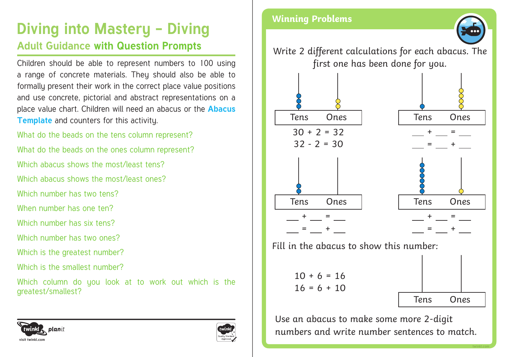# **Diving into Mastery - Diving**

### **Adult Guidance with Question Prompts**

Children should be able to represent numbers to 100 using a range of concrete materials. They should also be able to formally present their work in the correct place value positions and use concrete, pictorial and abstract representations on a place value chart. Children will need an abacus or the **Abacus Template** and counters for this activity.

What do the beads on the tens column represent? What do the beads on the ones column represent?

Which abacus shows the most/least tens?

Which abacus shows the most/least ones?

Which number has two tens?

When number has one ten?

Which number has six tens?

Which number has two ones?

Which is the greatest number?

Which is the smallest number?

Which column do you look at to work out which is the greatest/smallest?

#### planit :winkl **visit twinkl.com**



### **Winning Problems**

Write 2 different calculations for each abacus. The first one has been done for you.



Fill in the abacus to show this number:

 $10 + 6 = 16$  $16 = 6 + 10$ 



**twinkl.com**

Use an abacus to make some more 2-digit numbers and write number sentences to match.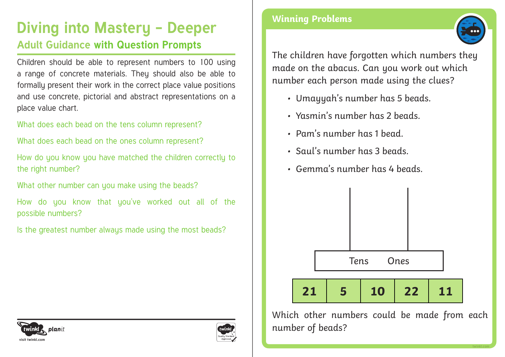## **Diving into Mastery - Deeper Adult Guidance with Question Prompts**

Children should be able to represent numbers to 100 using a range of concrete materials. They should also be able to formally present their work in the correct place value positions and use concrete, pictorial and abstract representations on a place value chart.

What does each bead on the tens column represent?

What does each bead on the ones column represent?

How do you know you have matched the children correctly to the right number?

What other number can you make using the beads?

How do you know that you've worked out all of the possible numbers?

Is the greatest number always made using the most beads?





### **Winning Problems**



The children have forgotten which numbers they made on the abacus. Can you work out which number each person made using the clues?

- Umayyah's number has 5 beads.
- Yasmin's number has 2 beads.
- Pam's number has 1 bead.
- Saul's number has 3 beads.
- Gemma's number has 4 beads.



Which other numbers could be made from each number of beads?